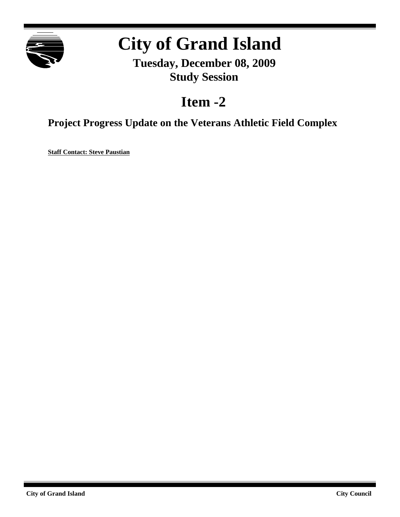

# **City of Grand Island**

**Tuesday, December 08, 2009 Study Session**

### **Item -2**

**Project Progress Update on the Veterans Athletic Field Complex**

**Staff Contact: Steve Paustian**